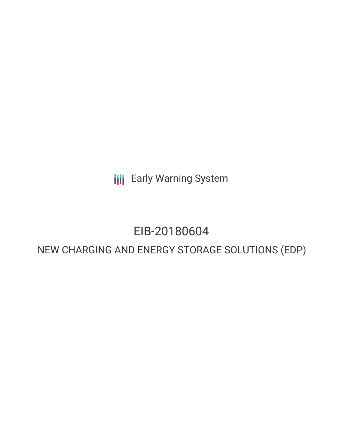**III** Early Warning System

# EIB-20180604

## NEW CHARGING AND ENERGY STORAGE SOLUTIONS (EDP)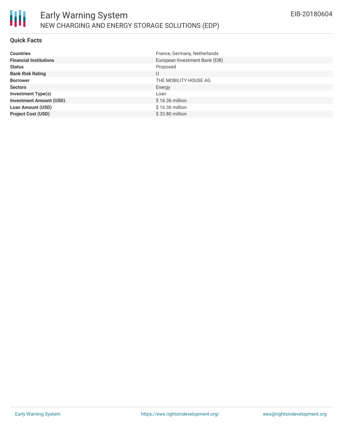#### **Quick Facts**

| <b>Countries</b>               | France, Germany, Netherlands   |
|--------------------------------|--------------------------------|
| <b>Financial Institutions</b>  | European Investment Bank (EIB) |
| <b>Status</b>                  | Proposed                       |
| <b>Bank Risk Rating</b>        | U                              |
| <b>Borrower</b>                | THE MOBILITY HOUSE AG          |
| <b>Sectors</b>                 | Energy                         |
| <b>Investment Type(s)</b>      | Loan                           |
| <b>Investment Amount (USD)</b> | $$16.36$ million               |
| <b>Loan Amount (USD)</b>       | \$16.36 million                |
| <b>Project Cost (USD)</b>      | \$33.80 million                |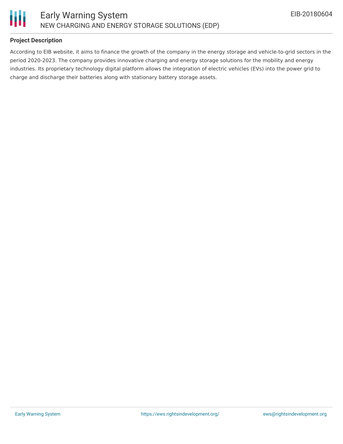



#### **Project Description**

According to EIB website, it aims to finance the growth of the company in the energy storage and vehicle-to-grid sectors in the period 2020-2023. The company provides innovative charging and energy storage solutions for the mobility and energy industries. Its proprietary technology digital platform allows the integration of electric vehicles (EVs) into the power grid to charge and discharge their batteries along with stationary battery storage assets.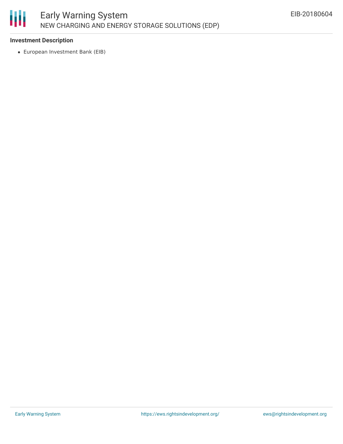

#### **Investment Description**

European Investment Bank (EIB)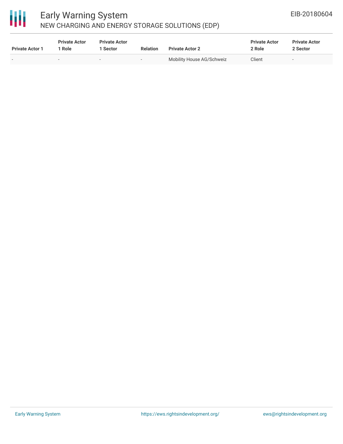

### Early Warning System NEW CHARGING AND ENERGY STORAGE SOLUTIONS (EDP)

| <b>Private Actor 1</b> | <b>Private Actor</b><br>1 Role | <b>Private Actor</b><br>Sector | <b>Relation</b> | <b>Private Actor 2</b>    | <b>Private Actor</b><br>2 Role | <b>Private Actor</b><br>2 Sector |
|------------------------|--------------------------------|--------------------------------|-----------------|---------------------------|--------------------------------|----------------------------------|
| $\sim$                 |                                | $\sim$                         | $\sim$          | Mobility House AG/Schweiz | Client                         | $\sim$                           |